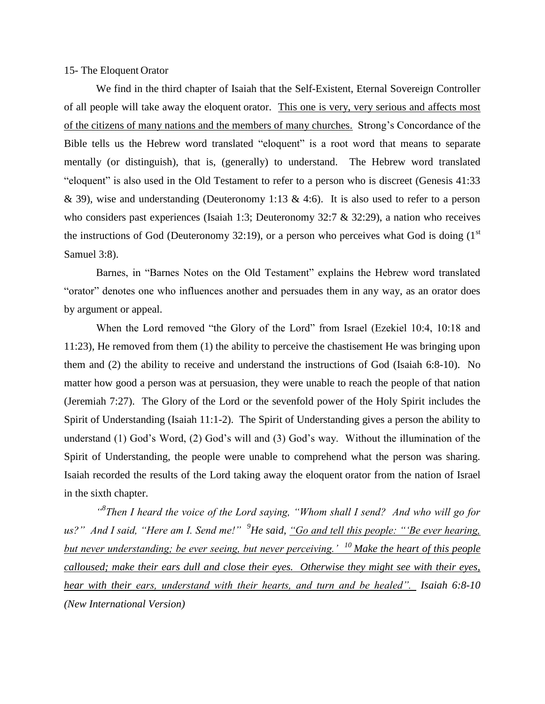## 15- The Eloquent Orator

We find in the third chapter of Isaiah that the Self-Existent, Eternal Sovereign Controller of all people will take away the eloquent orator.This one is very, very serious and affects most of the citizens of many nations and the members of many churches. Strong's Concordance of the Bible tells us the Hebrew word translated "eloquent" is a root word that means to separate mentally (or distinguish), that is, (generally) to understand. The Hebrew word translated "eloquent" is also used in the Old Testament to refer to a person who is discreet (Genesis 41:33 & 39), wise and understanding (Deuteronomy 1:13 & 4:6). It is also used to refer to a person who considers past experiences (Isaiah 1:3; Deuteronomy 32:7 & 32:29), a nation who receives the instructions of God (Deuteronomy 32:19), or a person who perceives what God is doing  $(1<sup>st</sup>$ Samuel 3:8).

Barnes, in "Barnes Notes on the Old Testament" explains the Hebrew word translated "orator" denotes one who influences another and persuades them in any way, as an orator does by argument or appeal.

When the Lord removed "the Glory of the Lord" from Israel (Ezekiel 10:4, 10:18 and 11:23), He removed from them (1) the ability to perceive the chastisement He was bringing upon them and (2) the ability to receive and understand the instructions of God (Isaiah 6:8-10). No matter how good a person was at persuasion, they were unable to reach the people of that nation (Jeremiah 7:27). The Glory of the Lord or the sevenfold power of the Holy Spirit includes the Spirit of Understanding (Isaiah 11:1-2). The Spirit of Understanding gives a person the ability to understand (1) God's Word, (2) God's will and (3) God's way. Without the illumination of the Spirit of Understanding, the people were unable to comprehend what the person was sharing. Isaiah recorded the results of the Lord taking away the eloquent orator from the nation of Israel in the sixth chapter.

<sup>"8</sup>Then I heard the voice of the Lord saying, "Whom shall I send? And who will go for *us?" And I said, "Here am I. Send me!" <sup>9</sup>He said, "Go and tell this people: "'Be ever hearing, but never understanding; be ever seeing, but never perceiving.' <sup>10</sup>Make the heart of this people calloused; make their ears dull and close their eyes. Otherwise they might see with their eyes, hear with their ears, understand with their hearts, and turn and be healed". Isaiah 6:8-10 (New International Version)*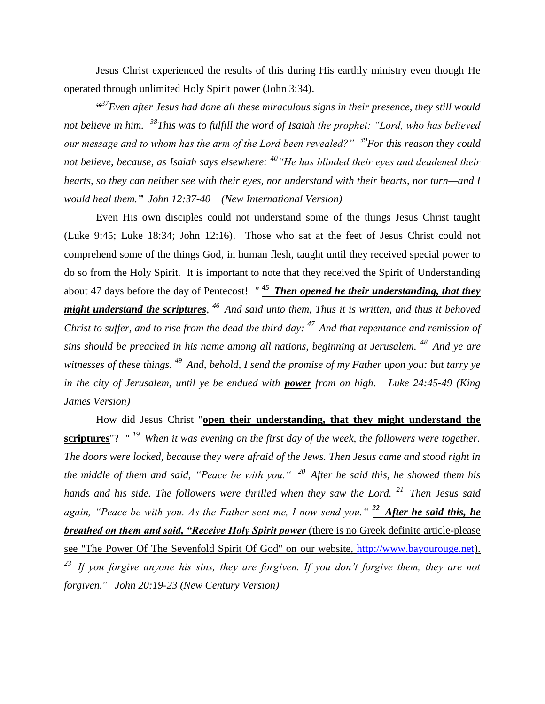Jesus Christ experienced the results of this during His earthly ministry even though He operated through unlimited Holy Spirit power (John 3:34).

**"** *<sup>37</sup>Even after Jesus had done all these miraculous signs in their presence, they still would not believe in him. <sup>38</sup>This was to fulfill the word of Isaiah the prophet: "Lord, who has believed our message and to whom has the arm of the Lord been revealed?" <sup>39</sup>For this reason they could not believe, because, as Isaiah says elsewhere: <sup>40</sup>"He has blinded their eyes and deadened their hearts, so they can neither see with their eyes, nor understand with their hearts, nor turn—and I would heal them." John 12:37-40 (New International Version)* 

Even His own disciples could not understand some of the things Jesus Christ taught (Luke 9:45; Luke 18:34; John 12:16). Those who sat at the feet of Jesus Christ could not comprehend some of the things God, in human flesh, taught until they received special power to do so from the Holy Spirit. It is important to note that they received the Spirit of Understanding about 47 days before the day of Pentecost! *" <sup>45</sup>Then opened he their understanding, that they might understand the scriptures, <sup>46</sup>And said unto them, Thus it is written, and thus it behoved Christ to suffer, and to rise from the dead the third day: <sup>47</sup>And that repentance and remission of sins should be preached in his name among all nations, beginning at Jerusalem. <sup>48</sup>And ye are witnesses of these things. <sup>49</sup>And, behold, I send the promise of my Father upon you: but tarry ye in the city of Jerusalem, until ye be endued with power from on high. Luke 24:45-49 (King James Version)*

How did Jesus Christ "**open their understanding, that they might understand the scriptures**"? *" <sup>19</sup>When it was evening on the first day of the week, the followers were together. The doors were locked, because they were afraid of the Jews. Then Jesus came and stood right in the middle of them and said, "Peace be with you." <sup>20</sup>After he said this, he showed them his hands and his side. The followers were thrilled when they saw the Lord. <sup>21</sup>Then Jesus said again, "Peace be with you. As the Father sent me, I now send you." <sup>22</sup> After he said this, he breathed on them and said, "Receive Holy Spirit power* (there is no Greek definite article-please see "The Power Of The Sevenfold Spirit Of God" on our website, [http://www.bayourouge.net\)](http://www.bayourouge.net/). *<sup>23</sup>If you forgive anyone his sins, they are forgiven. If you don't forgive them, they are not forgiven." John 20:19-23 (New Century Version)*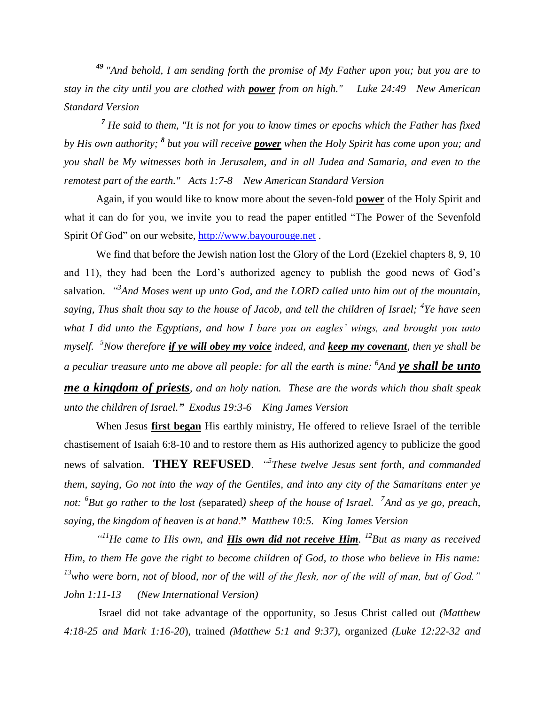*<sup>49</sup> "And behold, I am sending forth the promise of My Father upon you; but you are to stay in the city until you are clothed with power from on high." Luke 24:49 New American Standard Version*

*<sup>7</sup> He said to them, "It is not for you to know times or epochs which the Father has fixed by His own authority;*  ${}^{8}$  *but you will receive power when the Holy Spirit has come upon you; and you shall be My witnesses both in Jerusalem, and in all Judea and Samaria, and even to the remotest part of the earth." Acts 1:7-8 New American Standard Version*

Again, if you would like to know more about the seven-fold **power** of the Holy Spirit and what it can do for you, we invite you to read the paper entitled "The Power of the Sevenfold Spirit Of God" on our website, [http://www.bayourouge.net](http://www.bayourouge.net/) .

We find that before the Jewish nation lost the Glory of the Lord (Ezekiel chapters 8, 9, 10 and 11), they had been the Lord's authorized agency to publish the good news of God's salvation. *"<sup>3</sup>And Moses went up unto God, and the LORD called unto him out of the mountain, saying, Thus shalt thou say to the house of Jacob, and tell the children of Israel; <sup>4</sup> Ye have seen what I did unto the Egyptians, and how I bare you on eagles' wings, and brought you unto myself. <sup>5</sup>Now therefore if ye will obey my voice indeed, and keep my covenant, then ye shall be a peculiar treasure unto me above all people: for all the earth is mine: <sup>6</sup> And ye shall be unto me a kingdom of priests, and an holy nation. These are the words which thou shalt speak unto the children of Israel." Exodus 19:3-6 King James Version*

When Jesus **first began** His earthly ministry, He offered to relieve Israel of the terrible chastisement of Isaiah 6:8-10 and to restore them as His authorized agency to publicize the good news of salvation. **THEY REFUSED**. *" 5 These twelve Jesus sent forth, and commanded them, saying, Go not into the way of the Gentiles, and into any city of the Samaritans enter ye not: <sup>6</sup> But go rather to the lost (*separated*) sheep of the house of Israel. <sup>7</sup> And as ye go, preach, saying, the kingdom of heaven is at hand*.**"** *Matthew 10:5. King James Version*

*" <sup>11</sup>He came to His own, and His own did not receive Him. <sup>12</sup>But as many as received Him, to them He gave the right to become children of God, to those who believe in His name: <sup>13</sup>who were born, not of blood, nor of the will of the flesh, nor of the will of man, but of God." John 1:11-13 (New International Version)* 

Israel did not take advantage of the opportunity, so Jesus Christ called out *(Matthew 4:18-25 and Mark 1:16-20*), trained *(Matthew 5:1 and 9:37)*, organized *(Luke 12:22-32 and*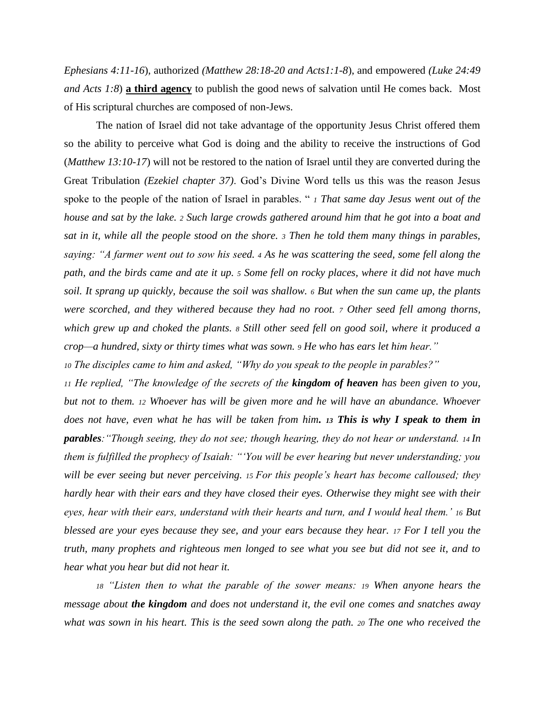*Ephesians 4:11-16*), authorized *(Matthew 28:18-20 and Acts1:1-8*), and empowered *(Luke 24:49 and Acts 1:8*) **a third agency** to publish the good news of salvation until He comes back. Most of His scriptural churches are composed of non-Jews.

The nation of Israel did not take advantage of the opportunity Jesus Christ offered them so the ability to perceive what God is doing and the ability to receive the instructions of God (*Matthew 13:10-17*) will not be restored to the nation of Israel until they are converted during the Great Tribulation *(Ezekiel chapter 37)*. God's Divine Word tells us this was the reason Jesus spoke to the people of the nation of Israel in parables. " *<sup>1</sup> That same day Jesus went out of the house and sat by the lake. <sup>2</sup> Such large crowds gathered around him that he got into a boat and sat in it, while all the people stood on the shore. <sup>3</sup> Then he told them many things in parables, saying: "A farmer went out to sow his seed. <sup>4</sup> As he was scattering the seed, some fell along the path, and the birds came and ate it up. <sup>5</sup> Some fell on rocky places, where it did not have much soil. It sprang up quickly, because the soil was shallow. <sup>6</sup> But when the sun came up, the plants were scorched, and they withered because they had no root. <sup>7</sup> Other seed fell among thorns, which grew up and choked the plants. <sup>8</sup> Still other seed fell on good soil, where it produced a crop—a hundred, sixty or thirty times what was sown. <sup>9</sup> He who has ears let him hear."* 

*<sup>10</sup> The disciples came to him and asked, "Why do you speak to the people in parables?"* 

*<sup>11</sup> He replied, "The knowledge of the secrets of the kingdom of heaven has been given to you, but not to them. <sup>12</sup> Whoever has will be given more and he will have an abundance. Whoever does not have, even what he has will be taken from him. <sup>13</sup> This is why I speak to them in parables:"Though seeing, they do not see; though hearing, they do not hear or understand. 14 In them is fulfilled the prophecy of Isaiah: "'You will be ever hearing but never understanding; you will be ever seeing but never perceiving. 15 For this people's heart has become calloused; they hardly hear with their ears and they have closed their eyes. Otherwise they might see with their eyes, hear with their ears, understand with their hearts and turn, and I would heal them.' <sup>16</sup> But blessed are your eyes because they see, and your ears because they hear. <sup>17</sup> For I tell you the truth, many prophets and righteous men longed to see what you see but did not see it, and to hear what you hear but did not hear it.* 

*<sup>18</sup> "Listen then to what the parable of the sower means: <sup>19</sup> When anyone hears the message about the kingdom and does not understand it, the evil one comes and snatches away what was sown in his heart. This is the seed sown along the path. <sup>20</sup> The one who received the*